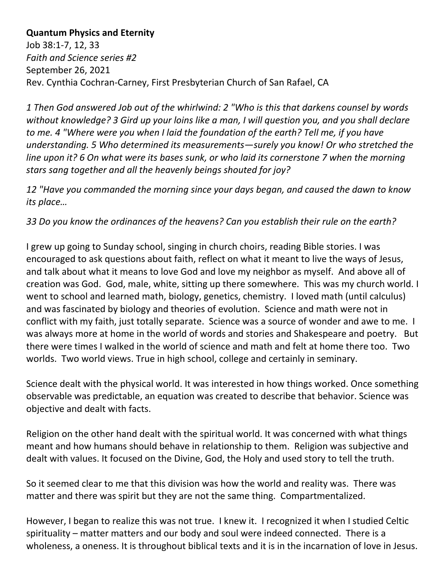## **Quantum Physics and Eternity**

Job 38:1-7, 12, 33 *Faith and Science series #2* September 26, 2021 Rev. Cynthia Cochran-Carney, First Presbyterian Church of San Rafael, CA

*1 Then God answered Job out of the whirlwind: 2 "Who is this that darkens counsel by words without knowledge? 3 Gird up your loins like a man, I will question you, and you shall declare to me. 4 "Where were you when I laid the foundation of the earth? Tell me, if you have understanding. 5 Who determined its measurements—surely you know! Or who stretched the line upon it? 6 On what were its bases sunk, or who laid its cornerstone 7 when the morning stars sang together and all the heavenly beings shouted for joy?* 

*12 "Have you commanded the morning since your days began, and caused the dawn to know its place…*

*33 Do you know the ordinances of the heavens? Can you establish their rule on the earth?* 

I grew up going to Sunday school, singing in church choirs, reading Bible stories. I was encouraged to ask questions about faith, reflect on what it meant to live the ways of Jesus, and talk about what it means to love God and love my neighbor as myself. And above all of creation was God. God, male, white, sitting up there somewhere. This was my church world. I went to school and learned math, biology, genetics, chemistry. I loved math (until calculus) and was fascinated by biology and theories of evolution. Science and math were not in conflict with my faith, just totally separate. Science was a source of wonder and awe to me. I was always more at home in the world of words and stories and Shakespeare and poetry. But there were times I walked in the world of science and math and felt at home there too. Two worlds. Two world views. True in high school, college and certainly in seminary.

Science dealt with the physical world. It was interested in how things worked. Once something observable was predictable, an equation was created to describe that behavior. Science was objective and dealt with facts.

Religion on the other hand dealt with the spiritual world. It was concerned with what things meant and how humans should behave in relationship to them. Religion was subjective and dealt with values. It focused on the Divine, God, the Holy and used story to tell the truth.

So it seemed clear to me that this division was how the world and reality was. There was matter and there was spirit but they are not the same thing. Compartmentalized.

However, I began to realize this was not true. I knew it. I recognized it when I studied Celtic spirituality – matter matters and our body and soul were indeed connected. There is a wholeness, a oneness. It is throughout biblical texts and it is in the incarnation of love in Jesus.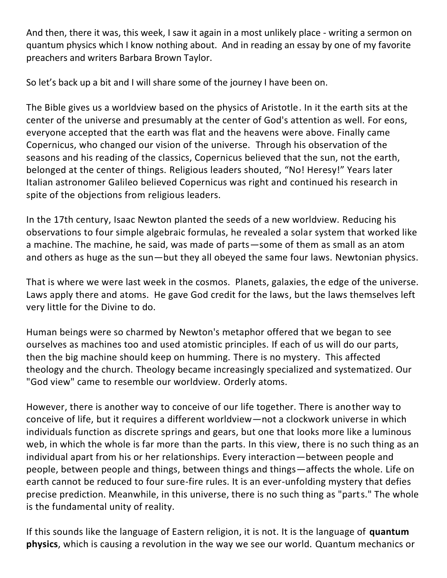And then, there it was, this week, I saw it again in a most unlikely place - writing a sermon on quantum physics which I know nothing about. And in reading an essay by one of my favorite preachers and writers Barbara Brown Taylor.

So let's back up a bit and I will share some of the journey I have been on.

The Bible gives us a worldview based on the physics of Aristotle. In it the earth sits at the center of the universe and presumably at the center of God's attention as well. For eons, everyone accepted that the earth was flat and the heavens were above. Finally came Copernicus, who changed our vision of the universe. Through his observation of the seasons and his reading of the classics, Copernicus believed that the sun, not the earth, belonged at the center of things. Religious leaders shouted, "No! Heresy!" Years later Italian astronomer Galileo believed Copernicus was right and continued his research in spite of the objections from religious leaders.

In the 17th century, Isaac Newton planted the seeds of a new worldview. Reducing his observations to four simple algebraic formulas, he revealed a solar system that worked like a machine. The machine, he said, was made of parts—some of them as small as an atom and others as huge as the sun—but they all obeyed the same four laws. Newtonian physics.

That is where we were last week in the cosmos. Planets, galaxies, the edge of the universe. Laws apply there and atoms. He gave God credit for the laws, but the laws themselves left very little for the Divine to do.

Human beings were so charmed by Newton's metaphor offered that we began to see ourselves as machines too and used atomistic principles. If each of us will do our parts, then the big machine should keep on humming. There is no mystery. This affected theology and the church. Theology became increasingly specialized and systematized. Our "God view" came to resemble our worldview. Orderly atoms.

However, there is another way to conceive of our life together. There is another way to conceive of life, but it requires a different worldview—not a clockwork universe in which individuals function as discrete springs and gears, but one that looks more like a luminous web, in which the whole is far more than the parts. In this view, there is no such thing as an individual apart from his or her relationships. Every interaction—between people and people, between people and things, between things and things—affects the whole. Life on earth cannot be reduced to four sure-fire rules. It is an ever-unfolding mystery that defies precise prediction. Meanwhile, in this universe, there is no such thing as "parts." The whole is the fundamental unity of reality.

If this sounds like the language of Eastern religion, it is not. It is the language of **quantum physics**, which is causing a revolution in the way we see our world. Quantum mechanics or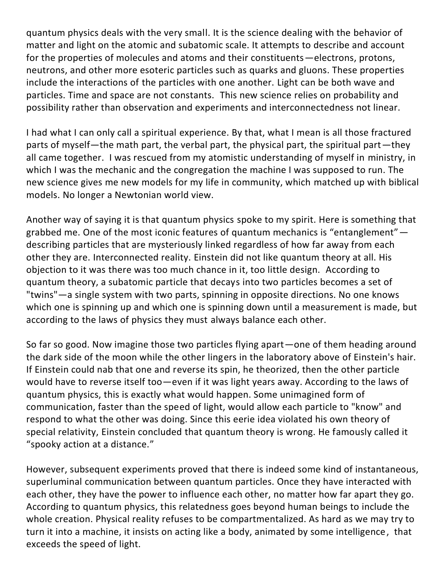quantum physics deals with the very small. It is the science dealing with the behavior of matter and light on the atomic and subatomic scale. It attempts to describe and account for the properties of molecules and atoms and their constituents—electrons, protons, neutrons, and other more esoteric particles such as quarks and gluons. These properties include the interactions of the particles with one another. Light can be both wave and particles. Time and space are not constants. This new science relies on probability and possibility rather than observation and experiments and interconnectedness not linear.

I had what I can only call a spiritual experience. By that, what I mean is all those fractured parts of myself—the math part, the verbal part, the physical part, the spiritual part—they all came together. I was rescued from my atomistic understanding of myself in ministry, in which I was the mechanic and the congregation the machine I was supposed to run. The new science gives me new models for my life in community, which matched up with biblical models. No longer a Newtonian world view.

Another way of saying it is that quantum physics spoke to my spirit. Here is something that grabbed me. One of the most iconic features of quantum mechanics is "entanglement" describing particles that are mysteriously linked regardless of how far away from each other they are. Interconnected reality. Einstein did not like quantum theory at all. His objection to it was there was too much chance in it, too little design.  According to quantum theory, a subatomic particle that decays into two particles becomes a set of "twins"—a single system with two parts, spinning in opposite directions. No one knows which one is spinning up and which one is spinning down until a measurement is made, but according to the laws of physics they must always balance each other.

So far so good. Now imagine those two particles flying apart—one of them heading around the dark side of the moon while the other lingers in the laboratory above of Einstein's hair. If Einstein could nab that one and reverse its spin, he theorized, then the other particle would have to reverse itself too—even if it was light years away. According to the laws of quantum physics, this is exactly what would happen. Some unimagined form of communication, faster than the speed of light, would allow each particle to "know" and respond to what the other was doing. Since this eerie idea violated his own theory of special relativity, Einstein concluded that quantum theory is wrong. He famously called it "spooky action at a distance."

However, subsequent experiments proved that there is indeed some kind of instantaneous, superluminal communication between quantum particles. Once they have interacted with each other, they have the power to influence each other, no matter how far apart they go. According to quantum physics, this relatedness goes beyond human beings to include the whole creation. Physical reality refuses to be compartmentalized. As hard as we may try to turn it into a machine, it insists on acting like a body, animated by some intelligence, that exceeds the speed of light.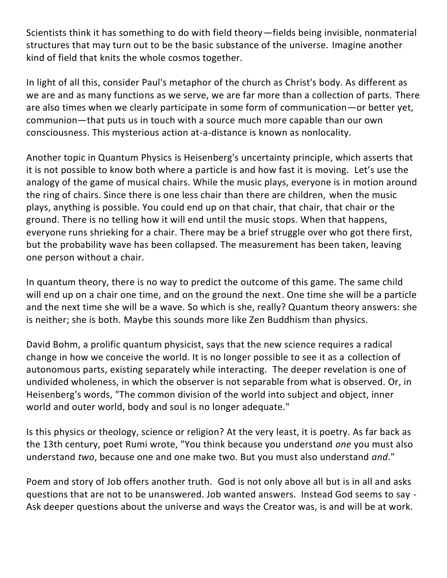Scientists think it has something to do with field theory—fields being invisible, nonmaterial structures that may turn out to be the basic substance of the universe. Imagine another kind of field that knits the whole cosmos together.

In light of all this, consider Paul's metaphor of the church as Christ's body. As different as we are and as many functions as we serve, we are far more than a collection of parts. There are also times when we clearly participate in some form of communication—or better yet, communion—that puts us in touch with a source much more capable than our own consciousness. This mysterious action at-a-distance is known as nonlocality.

Another topic in Quantum Physics is Heisenberg's uncertainty principle, which asserts that it is not possible to know both where a particle is and how fast it is moving. Let's use the analogy of the game of musical chairs. While the music plays, everyone is in motion around the ring of chairs. Since there is one less chair than there are children, when the music plays, anything is possible. You could end up on that chair, that chair, that chair or the ground. There is no telling how it will end until the music stops. When that happens, everyone runs shrieking for a chair. There may be a brief struggle over who got there first, but the probability wave has been collapsed. The measurement has been taken, leaving one person without a chair.

In quantum theory, there is no way to predict the outcome of this game. The same child will end up on a chair one time, and on the ground the next. One time she will be a particle and the next time she will be a wave. So which is she, really? Quantum theory answers: she is neither; she is both. Maybe this sounds more like Zen Buddhism than physics.

David Bohm, a prolific quantum physicist, says that the new science requires a radical change in how we conceive the world. It is no longer possible to see it as a collection of autonomous parts, existing separately while interacting. The deeper revelation is one of undivided wholeness, in which the observer is not separable from what is observed. Or, in Heisenberg's words, "The common division of the world into subject and object, inner world and outer world, body and soul is no longer adequate."

Is this physics or theology, science or religion? At the very least, it is poetry. As far back as the 13th century, poet Rumi wrote, "You think because you understand *one* you must also understand *two*, because one and one make two. But you must also understand *and*."

Poem and story of Job offers another truth. God is not only above all but is in all and asks questions that are not to be unanswered. Job wanted answers. Instead God seems to say - Ask deeper questions about the universe and ways the Creator was, is and will be at work.